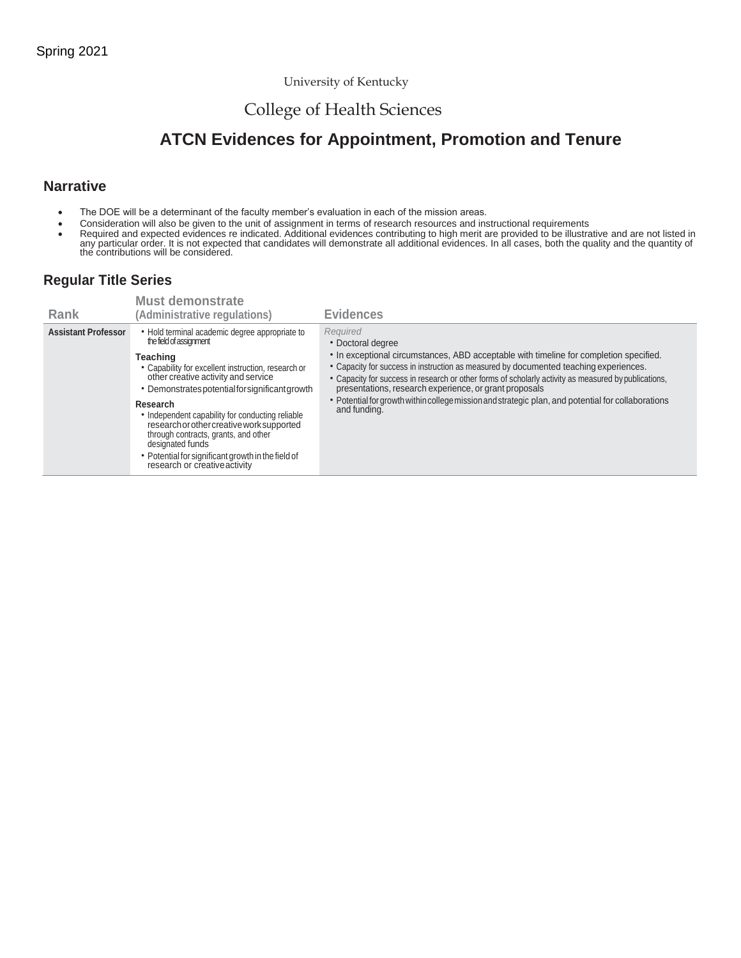### University of Kentucky

# College of Health Sciences

# **ATCN Evidences for Appointment, Promotion and Tenure**

### **Narrative**

- The DOE will be a determinant of the faculty member's evaluation in each of the mission areas.
- Consideration will also be given to the unit of assignment in terms of research resources and instructional requirements
- Required and expected evidences re indicated. Additional evidences contributing to high merit are provided to be illustrative and are not listed in<br>any particular order. It is not expected that candidates will demonstrat

### **Regular Title Series**

| Rank                       | <b>Must demonstrate</b><br>(Administrative regulations)                                                                                                                                                                                                                                                                                                                                                                                                                                                | <b>Evidences</b>                                                                                                                                                                                                                                                                                                                                                                                                                                                                                         |
|----------------------------|--------------------------------------------------------------------------------------------------------------------------------------------------------------------------------------------------------------------------------------------------------------------------------------------------------------------------------------------------------------------------------------------------------------------------------------------------------------------------------------------------------|----------------------------------------------------------------------------------------------------------------------------------------------------------------------------------------------------------------------------------------------------------------------------------------------------------------------------------------------------------------------------------------------------------------------------------------------------------------------------------------------------------|
| <b>Assistant Professor</b> | • Hold terminal academic degree appropriate to<br>the field of assignment<br>Teaching<br>• Capability for excellent instruction, research or<br>other creative activity and service<br>• Demonstrates potential for significant growth<br>Research<br>• Independent capability for conducting reliable<br>research or other creative work supported<br>through contracts, grants, and other<br>designated funds<br>• Potential for significant growth in the field of<br>research or creative activity | Required<br>• Doctoral degree<br>• In exceptional circumstances, ABD acceptable with timeline for completion specified.<br>• Capacity for success in instruction as measured by documented teaching experiences.<br>• Capacity for success in research or other forms of scholarly activity as measured by publications,<br>presentations, research experience, or grant proposals<br>• Potential for growth within college mission and strategic plan, and potential for collaborations<br>and funding. |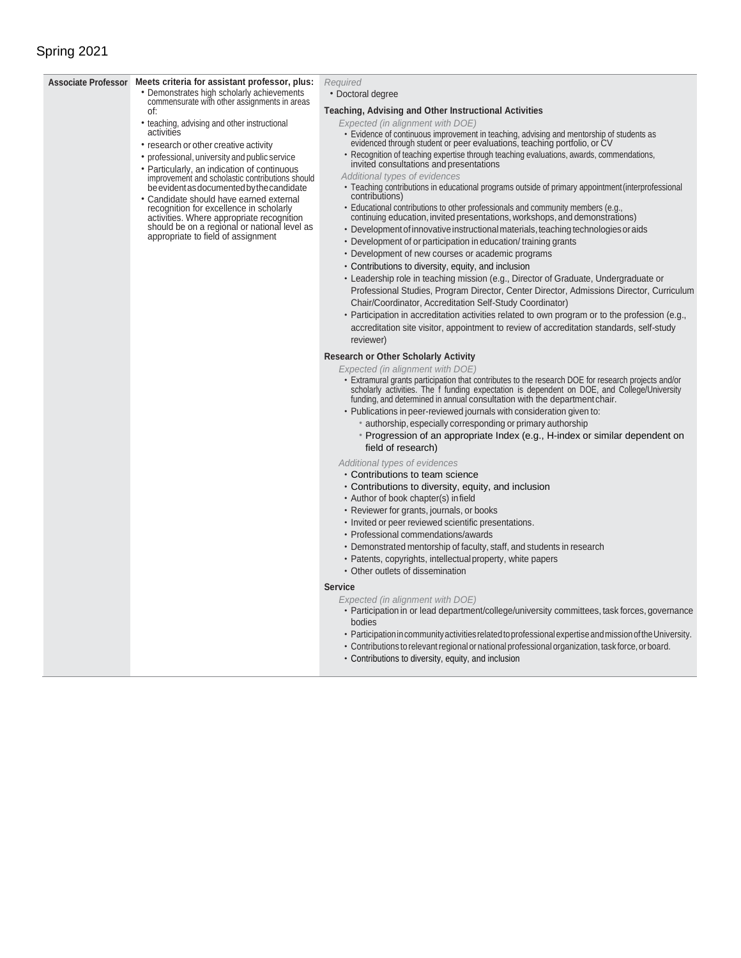## Spring 2021

#### **Associate Professor Meets criteria for assistant professor, plus:**

of:

activities

commensurate with other assignments in areas

• teaching, advising and other instructional

• research or other creative activity • professional, university and public service • Particularly, an indication of continuous improvement and scholastic contributions should be evident as documented by the candidate • Candidate should have earned external recognition for excellence in scholarly activities. Where appropriate recognition should be on a regional or national level as appropriate to field of assignment

- Demonstrates high scholarly achievements *Required*
	- Doctoral degree

#### **Teaching, Advising and Other Instructional Activities**

- *Expected (in alignment with DOE)*
- Evidence of continuous improvement in teaching, advising and mentorship of students as evidenced through student or peer evaluations, teaching portfolio, or CV
- Recognition of teaching expertise through teaching evaluations, awards, commendations, invited consultations and presentations
- *Additional types of evidences*
- Teaching contributions in educational programs outside of primary appointment(interprofessional contributions)
- Educational contributions to other professionals and community members (e.g., continuing education, invited presentations, workshops, and demonstrations)
- Development of innovative instructional materials, teaching technologies or aids
- Development of or participation in education/ training grants
- Development of new courses or academic programs
- Contributions to diversity, equity, and inclusion
- Leadership role in teaching mission (e.g., Director of Graduate, Undergraduate or Professional Studies, Program Director, Center Director, Admissions Director, Curriculum Chair/Coordinator, Accreditation Self-Study Coordinator)
- Participation in accreditation activities related to own program or to the profession (e.g., accreditation site visitor, appointment to review of accreditation standards, self-study reviewer)

#### **Research or Other Scholarly Activity**

- *Expected (in alignment with DOE)*
- Extramural grants participation that contributes to the research DOE for research projects and/or scholarly activities. The f funding expectation is dependent on DOE, and College/University funding, and determined in annual consultation with the department chair.
- Publications in peer-reviewed journals with consideration given to:
	- authorship, especially corresponding or primary authorship
	- Progression of an appropriate Index (e.g., H-index or similar dependent on field of research)

#### *Additional types of evidences*

- Contributions to team science
- Contributions to diversity, equity, and inclusion
- Author of book chapter(s) infield
- Reviewer for grants, journals, or books
- Invited or peer reviewed scientific presentations.
- Professional commendations/awards
- Demonstrated mentorship of faculty, staff, and students in research
- Patents, copyrights, intellectualproperty, white papers
- Other outlets of dissemination

#### **Service**

*Expected (in alignment with DOE)*

- Participation in or lead department/college/university committees, task forces, governance bodies
- ParticipationincommunityactivitiesrelatedtoprofessionalexpertiseandmissionoftheUniversity.
- Contributions to relevant regional or national professional organization, task force, or board.
- Contributions to diversity, equity, and inclusion